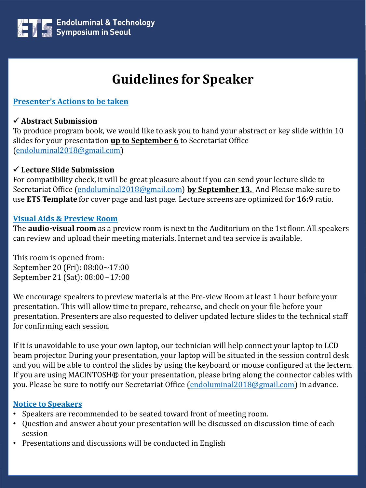

# **Guidelines for Speaker**

**Presenter's Actions to be taken**

#### **Abstract Submission**

To produce program book, we would like to ask you to hand your abstract or key slide within 10 slides for your presentation **up to September 6** to Secretariat Office ([endoluminal2018@gmail.com\)](mailto:endoluminal2018@gmail.com)

#### **Lecture Slide Submission**

For compatibility check, it will be great pleasure about if you can send your lecture slide to Secretariat Office ([endoluminal2018@gmail.com\)](mailto:endoluminal2018@gmail.com) **by September 13.** And Please make sure to use **ETS Template** for cover page and last page. Lecture screens are optimized for **16:9** ratio.

#### **Visual Aids & Preview Room**

The **audio-visual room** as a preview room is next to the Auditorium on the 1st floor. All speakers can review and upload their meeting materials. Internet and tea service is available.

This room is opened from: September 20 (Fri): 08:00~17:00 September 21 (Sat): 08:00~17:00

We encourage speakers to preview materials at the Pre-view Room at least 1 hour before your presentation. This will allow time to prepare, rehearse, and check on your file before your presentation. Presenters are also requested to deliver updated lecture slides to the technical staff for confirming each session.

If it is unavoidable to use your own laptop, our technician will help connect your laptop to LCD beam projector. During your presentation, your laptop will be situated in the session control desk and you will be able to control the slides by using the keyboard or mouse configured at the lectern. If you are using MACINTOSH® for your presentation, please bring along the connector cables with you. Please be sure to notify our Secretariat Office [\(endoluminal2018@gmail.com\)](mailto:endoluminal2018@gmail.com) in advance.

#### **Notice to Speakers**

- Speakers are recommended to be seated toward front of meeting room.
- Question and answer about your presentation will be discussed on discussion time of each session
- Presentations and discussions will be conducted in English